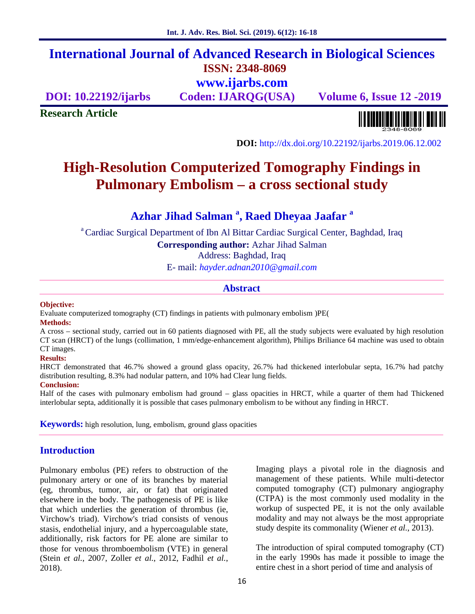## **International Journal of Advanced Research in Biological Sciences ISSN: 2348-8069 www.ijarbs.com**

**DOI: 10.22192/ijarbs Coden: IJARQG(USA) Volume 6, Issue 12 -2019**

**Research Article**

<u> Alban kalendari kalendar pada sebagai pengangkan pada atau pada atau pada atau sebagai pada atau salah pada a</u>

**DOI:** http://dx.doi.org/10.22192/ijarbs.2019.06.12.002

# **High-Resolution Computerized Tomography Findings in Pulmonary Embolism – a cross sectional study**

## **Azhar Jihad Salman <sup>a</sup> , Raed Dheyaa Jaafar <sup>a</sup>**

<sup>a</sup> Cardiac Surgical Department of Ibn Al Bittar Cardiac Surgical Center, Baghdad, Iraq

**Corresponding author:** Azhar Jihad Salman

Address: Baghdad, Iraq

E- mail: *hayder.adnan2010@gmail.com*

#### **Abstract**

#### **Objective:**

Evaluate computerized tomography (CT) findings in patients with pulmonary embolism )PE(

#### **Methods:**

A cross – sectional study, carried out in 60 patients diagnosed with PE, all the study subjects were evaluated by high resolution CT scan (HRCT) of the lungs (collimation, 1 mm/edge-enhancement algorithm), Philips Briliance 64 machine was used to obtain CT images.

#### **Results:**

HRCT demonstrated that 46.7% showed a ground glass opacity, 26.7% had thickened interlobular septa, 16.7% had patchy distribution resulting, 8.3% had nodular pattern, and 10% had Clear lung fields.

#### **Conclusion:**

Half of the cases with pulmonary embolism had ground – glass opacities in HRCT, while a quarter of them had Thickened interlobular septa, additionally it is possible that cases pulmonary embolism to be without any finding in HRCT.

**Keywords:** high resolution, lung, embolism, ground glass opacities

### **Introduction**

Pulmonary embolus (PE) refers to obstruction of the pulmonary artery or one of its branches by material (eg, thrombus, tumor, air, or fat) that originated elsewhere in the body. The pathogenesis of PE is like that which underlies the generation of thrombus (ie, Virchow's triad). Virchow's triad consists of venous stasis, endothelial injury, and a hypercoagulable state, additionally, risk factors for PE alone are similar to those for venous thromboembolism (VTE) in general (Stein *et al.*, 2007, Zoller *et al.*, 2012, Fadhil *et al.*, 2018).

Imaging plays a pivotal role in the diagnosis and management of these patients. While multi-detector computed tomography (CT) pulmonary angiography (CTPA) is the most commonly used modality in the workup of suspected PE, it is not the only available modality and may not always be the most appropriate study despite its commonality (Wiener *et al.*, 2013).

The introduction of spiral computed tomography (CT) in the early 1990s has made it possible to image the entire chest in a short period of time and analysis of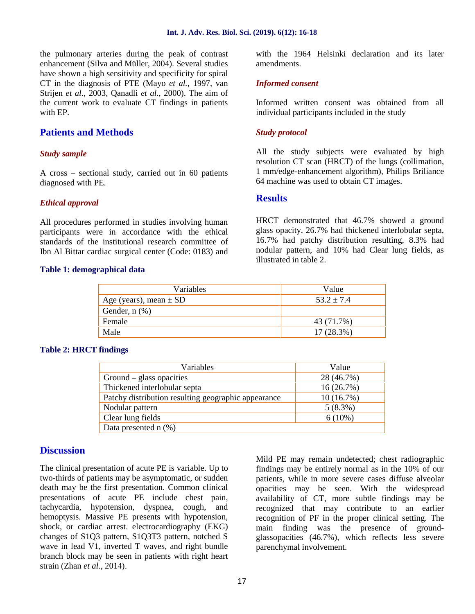the pulmonary arteries during the peak of contrast enhancement (Silva and Müller, 2004). Several studies have shown a high sensitivity and specificity for spiral CT in the diagnosis of PTE (Mayo *et al.*, 1997, van Strijen *et al.*, 2003, Qanadli *et al.*, 2000). The aim of the current work to evaluate CT findings in patients with EP.

### **Patients and Methods**

#### *Study sample*

A cross – sectional study, carried out in 60 patients diagnosed with PE.

#### *Ethical approval*

All procedures performed in studies involving human participants were in accordance with the ethical standards of the institutional research committee of Ibn Al Bittar cardiac surgical center (Code: 0183) and

#### **Table 1: demographical data**

with the 1964 Helsinki declaration and its later amendments.

#### *Informed consent*

Informed written consent was obtained from all individual participants included in the study

#### *Study protocol*

All the study subjects were evaluated by high resolution CT scan (HRCT) of the lungs (collimation, 1 mm/edge-enhancement algorithm), Philips Briliance 64 machine was used to obtain CT images.

#### **Results**

HRCT demonstrated that 46.7% showed a ground glass opacity, 26.7% had thickened interlobular septa, 16.7% had patchy distribution resulting, 8.3% had nodular pattern, and 10% had Clear lung fields, as illustrated in table 2.

| Variables                  | Value          |
|----------------------------|----------------|
| Age (years), mean $\pm$ SD | $53.2 \pm 7.4$ |
| Gender, $n$ $(\%)$         |                |
| Female                     | 43 (71.7%)     |
| Male                       | $17(28.3\%)$   |

#### **Table 2: HRCT findings**

| Variables                                           | Value      |
|-----------------------------------------------------|------------|
| $Ground - glass opacities$                          | 28 (46.7%) |
| Thickened interlobular septa                        | 16(26.7%)  |
| Patchy distribution resulting geographic appearance | 10(16.7%)  |
| Nodular pattern                                     | $5(8.3\%)$ |
| Clear lung fields                                   | $6(10\%)$  |
| Data presented $n$ (%)                              |            |

#### **Discussion**

The clinical presentation of acute PE is variable. Up to two-thirds of patients may be asymptomatic, or sudden death may be the first presentation. Common clinical presentations of acute PE include chest pain, tachycardia, hypotension, dyspnea, cough, and hemoptysis. Massive PE presents with hypotension, shock, or cardiac arrest. electrocardiography (EKG) changes of S1Q3 pattern, S1Q3T3 pattern, notched S wave in lead V1, inverted T waves, and right bundle branch block may be seen in patients with right heart strain (Zhan *et al.*, 2014).

Mild PE may remain undetected; chest radiographic findings may be entirely normal as in the 10% of our patients, while in more severe cases diffuse alveolar opacities may be seen. With the widespread availability of CT, more subtle findings may be recognized that may contribute to an earlier recognition of PF in the proper clinical setting. The main finding was the presence of ground glassopacities (46.7%), which reflects less severe parenchymal involvement.